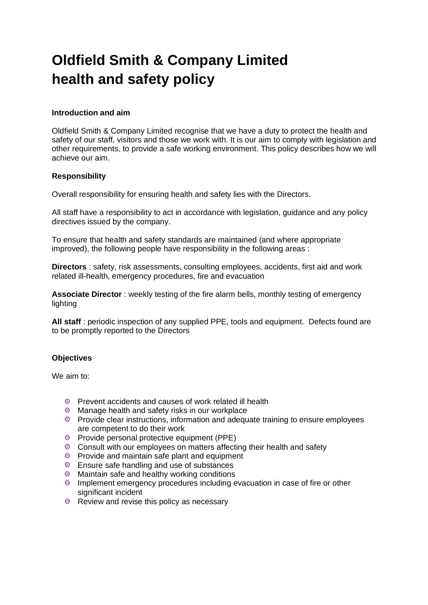# **Oldfield Smith & Company Limited health and safety policy**

#### **Introduction and aim**

Oldfield Smith & Company Limited recognise that we have a duty to protect the health and safety of our staff, visitors and those we work with. It is our aim to comply with legislation and other requirements, to provide a safe working environment. This policy describes how we will achieve our aim.

## **Responsibility**

Overall responsibility for ensuring health and safety lies with the Directors.

All staff have a responsibility to act in accordance with legislation, guidance and any policy directives issued by the company.

To ensure that health and safety standards are maintained (and where appropriate improved), the following people have responsibility in the following areas :

**Directors** : safety, risk assessments, consulting employees, accidents, first aid and work related ill-health, emergency procedures, fire and evacuation

**Associate Director** : weekly testing of the fire alarm bells, monthly testing of emergency lighting

**All staff** : periodic inspection of any supplied PPE, tools and equipment. Defects found are to be promptly reported to the Directors

# **Objectives**

We aim to:

- Prevent accidents and causes of work related ill health
- Manage health and safety risks in our workplace
- Provide clear instructions, information and adequate training to ensure employees are competent to do their work
- <sup>©</sup> Provide personal protective equipment (PPE)
- Consult with our employees on matters affecting their health and safety
- **EXECUTE:** Provide and maintain safe plant and equipment
- **Ensure safe handling and use of substances**
- <sup>®</sup> Maintain safe and healthy working conditions
- Implement emergency procedures including evacuation in case of fire or other significant incident
- <sup>®</sup> Review and revise this policy as necessary